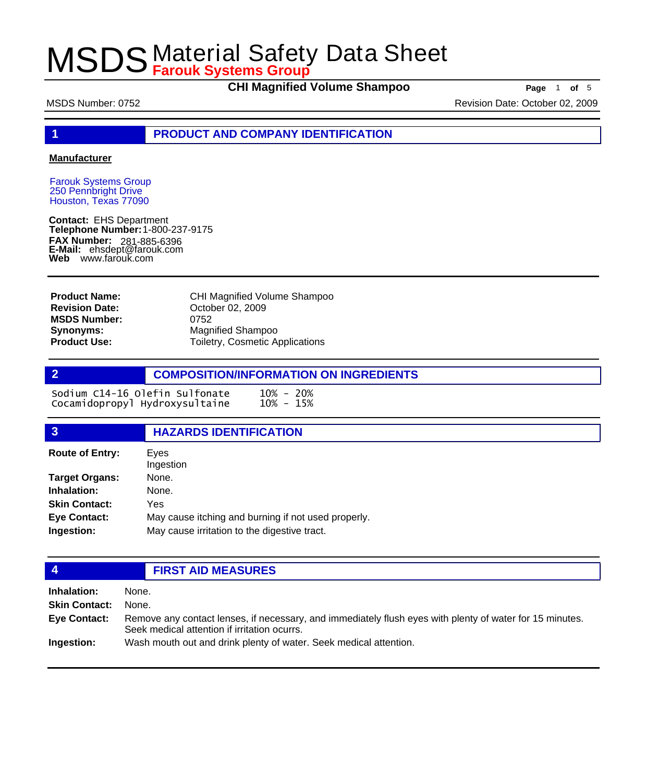**CHI Magnified Volume Shampoo Page** 1 of 5

MSDS Number: 0752 Revision Date: October 02, 2009

**1 PRODUCT AND COMPANY IDENTIFICATION**

### **Manufacturer**

Farouk Systems Group 250 Pennbright Drive Houston, Texas 77090

**Contact:** EHS Department **Telephone Number:** 1-800-237-9175 **FAX Number: FAX Number:** 281-885-6396<br>**E-Mail:** ehsdept@farouk.com **Web** www.farouk.com

CHI Magnified Volume Shampoo October 02, 2009 0752 Magnified Shampoo Toiletry, Cosmetic Applications **Product Name: Revision Date: MSDS Number: Synonyms: Product Use:**

**2 COMPOSITION/INFORMATION ON INGREDIENTS**

Sodium C14-16 Olefin Sulfonate 10% - 20%<br>Cocamidopropyl Hydroxysultaine 10% - 15% Cocamidopropyl Hydroxysultaine

### **3 HAZARDS IDENTIFICATION**

| <b>Route of Entry:</b> | Eves<br>Ingestion                                   |  |
|------------------------|-----------------------------------------------------|--|
| Target Organs:         | None.                                               |  |
| Inhalation:            | None.                                               |  |
| <b>Skin Contact:</b>   | Yes                                                 |  |
| Eye Contact:           | May cause itching and burning if not used properly. |  |
| Ingestion:             | May cause irritation to the digestive tract.        |  |
|                        |                                                     |  |

## **4 FIRST AID MEASURES**

| <b>Inhalation:</b>   | None.                                                                                                                                                    |
|----------------------|----------------------------------------------------------------------------------------------------------------------------------------------------------|
| <b>Skin Contact:</b> | None.                                                                                                                                                    |
| Eye Contact:         | Remove any contact lenses, if necessary, and immediately flush eyes with plenty of water for 15 minutes.<br>Seek medical attention if irritation ocurrs. |
| Ingestion:           | Wash mouth out and drink plenty of water. Seek medical attention.                                                                                        |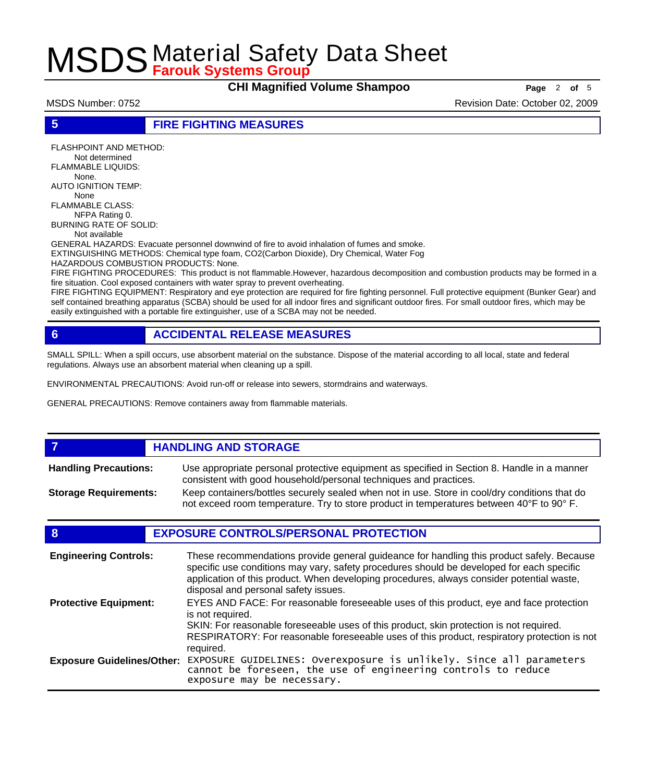**CHI Magnified Volume Shampoo Page** 2 of 5

MSDS Number: 0752 Revision Date: October 02, 2009

**5 FIRE FIGHTING MEASURES**

FLASHPOINT AND METHOD: Not determined FLAMMABLE LIQUIDS: None. AUTO IGNITION TEMP: None FLAMMABLE CLASS: NFPA Rating 0. BURNING RATE OF SOLID:

Not available

GENERAL HAZARDS: Evacuate personnel downwind of fire to avoid inhalation of fumes and smoke. EXTINGUISHING METHODS: Chemical type foam, CO2(Carbon Dioxide), Dry Chemical, Water Fog HAZARDOUS COMBUSTION PRODUCTS: None.

FIRE FIGHTING PROCEDURES: This product is not flammable.However, hazardous decomposition and combustion products may be formed in a fire situation. Cool exposed containers with water spray to prevent overheating.

FIRE FIGHTING EQUIPMENT: Respiratory and eye protection are required for fire fighting personnel. Full protective equipment (Bunker Gear) and self contained breathing apparatus (SCBA) should be used for all indoor fires and significant outdoor fires. For small outdoor fires, which may be easily extinguished with a portable fire extinguisher, use of a SCBA may not be needed.

## **6 ACCIDENTAL RELEASE MEASURES**

SMALL SPILL: When a spill occurs, use absorbent material on the substance. Dispose of the material according to all local, state and federal regulations. Always use an absorbent material when cleaning up a spill.

ENVIRONMENTAL PRECAUTIONS: Avoid run-off or release into sewers, stormdrains and waterways.

GENERAL PRECAUTIONS: Remove containers away from flammable materials.

### *HANDLING AND STORAGE* Use appropriate personal protective equipment as specified in Section 8. Handle in a manner consistent with good household/personal techniques and practices. **Handling Precautions:** Keep containers/bottles securely sealed when not in use. Store in cool/dry conditions that do not exceed room temperature. Try to store product in temperatures between 40°F to 90° F. **Storage Requirements:**

## **8 EXPOSURE CONTROLS/PERSONAL PROTECTION**

| <b>Engineering Controls:</b>      | These recommendations provide general guideance for handling this product safely. Because<br>specific use conditions may vary, safety procedures should be developed for each specific<br>application of this product. When developing procedures, always consider potential waste,<br>disposal and personal safety issues. |
|-----------------------------------|-----------------------------------------------------------------------------------------------------------------------------------------------------------------------------------------------------------------------------------------------------------------------------------------------------------------------------|
| <b>Protective Equipment:</b>      | EYES AND FACE: For reasonable foreseeable uses of this product, eye and face protection<br>is not required.<br>SKIN: For reasonable foreseeable uses of this product, skin protection is not required.<br>RESPIRATORY: For reasonable foreseeable uses of this product, respiratory protection is not<br>required.          |
| <b>Exposure Guidelines/Other:</b> | EXPOSURE GUIDELINES: Overexposure is unlikely. Since all parameters cannot be foreseen, the use of engineering controls to reduce<br>exposure may be necessary.                                                                                                                                                             |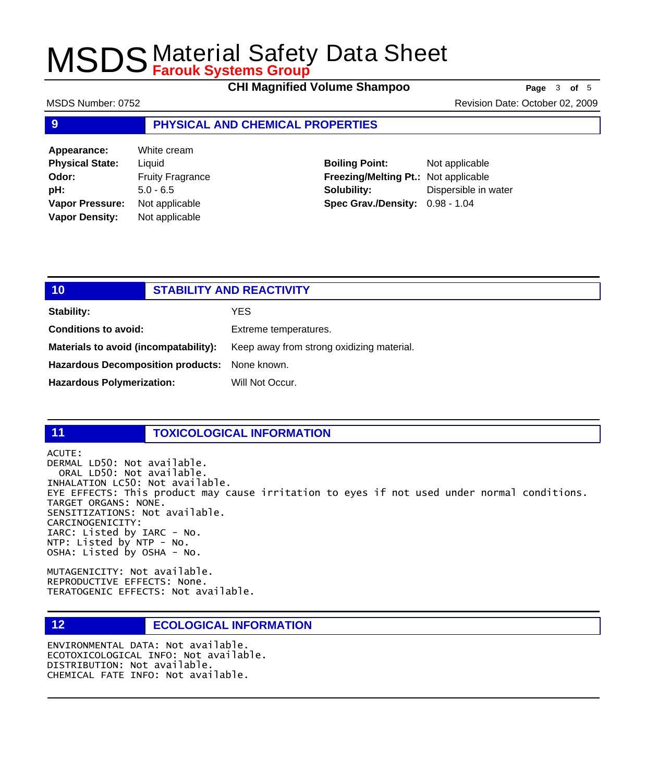**CHI Magnified Volume Shampoo Page** 3 of 5

MSDS Number: 0752 **MSDS** Number: 0752

### **9 PHYSICAL AND CHEMICAL PROPERTIES**

| Appearance:            | White cream             |
|------------------------|-------------------------|
| <b>Physical State:</b> | Liquid                  |
| Odor:                  | <b>Fruity Fragrance</b> |
| pH:                    | $5.0 - 6.5$             |
| Vapor Pressure:        | Not applicable          |
| <b>Vapor Density:</b>  | Not applicable          |

**Boiling Point:** Not applicable **Freezing/Melting Pt.:** Not applicable **Solubility:** Dispersible in water **Spec Grav./Density:** 0.98 - 1.04

## **10 STABILITY AND REACTIVITY Stability:** YES **Conditions to avoid:** Extreme temperatures. Materials to avoid (incompatability): Keep away from strong oxidizing material. **Hazardous Decomposition products:** None known.

Hazardous Polymerization: Will Not Occur.

## **11 TOXICOLOGICAL INFORMATION**

ACUTE:

DERMAL LD50: Not available. ORAL LD50: Not available. INHALATION LC50: Not available. EYE EFFECTS: This product may cause irritation to eyes if not used under normal conditions. TARGET ORGANS: NONE. SENSITIZATIONS: Not available. CARCINOGENICITY: IARC: Listed by IARC - No. NTP: Listed by NTP - No. OSHA: Listed by OSHA - No.

MUTAGENICITY: Not available. REPRODUCTIVE EFFECTS: None. TERATOGENIC EFFECTS: Not available.

## **12 ECOLOGICAL INFORMATION**

ENVIRONMENTAL DATA: Not available. ECOTOXICOLOGICAL INFO: Not available. DISTRIBUTION: Not available. CHEMICAL FATE INFO: Not available.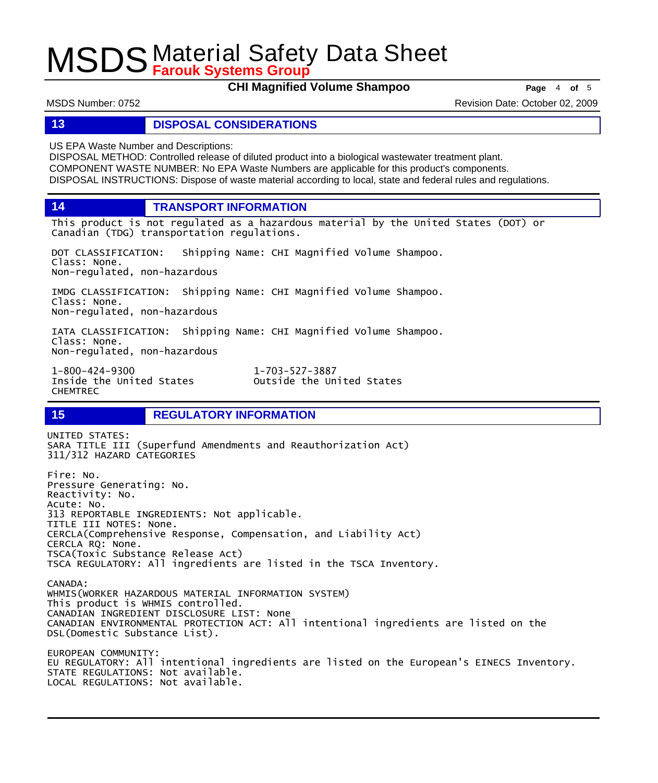**CHI Magnified Volume Shampoo Page** 4 of 5

MSDS Number: 0752 Revision Date: October 02, 2009

### **13 DISPOSAL CONSIDERATIONS**

US EPA Waste Number and Descriptions:

DISPOSAL METHOD: Controlled release of diluted product into a biological wastewater treatment plant. COMPONENT WASTE NUMBER: No EPA Waste Numbers are applicable for this product's components. DISPOSAL INSTRUCTIONS: Dispose of waste material according to local, state and federal rules and regulations.

**14 TRANSPORT INFORMATION**

This product is not regulated as a hazardous material by the United States (DOT) or Canadian (TDG) transportation regulations.

DOT CLASSIFICATION: Shipping Name: CHI Magnified Volume Shampoo. Class: None. Non-regulated, non-hazardous

IMDG CLASSIFICATION: Shipping Name: CHI Magnified Volume Shampoo. Class: None. Non-regulated, non-hazardous

IATA CLASSIFICATION: Shipping Name: CHI Magnified Volume Shampoo. Class: None. Non-regulated, non-hazardous

1-800-424-9300 1-703-527-3887 CHEMTREC

Outside the United States

## **15 REGULATORY INFORMATION**

UNITED STATES: SARA TITLE III (Superfund Amendments and Reauthorization Act) 311/312 HAZARD CATEGORIES Fire: No. Pressure Generating: No. Reactivity: No. Acute: No. 313 REPORTABLE INGREDIENTS: Not applicable. TITLE III NOTES: None. CERCLA(Comprehensive Response, Compensation, and Liability Act)

CERCLA RQ: None. TSCA(Toxic Substance Release Act) TSCA REGULATORY: All ingredients are listed in the TSCA Inventory.

CANADA: WHMIS(WORKER HAZARDOUS MATERIAL INFORMATION SYSTEM) This product is WHMIS controlled. CANADIAN INGREDIENT DISCLOSURE LIST: None CANADIAN ENVIRONMENTAL PROTECTION ACT: All intentional ingredients are listed on the DSL(Domestic Substance List).

EUROPEAN COMMUNITY: EU REGULATORY: All intentional ingredients are listed on the European's EINECS Inventory. STATE REGULATIONS: Not available. LOCAL REGULATIONS: Not available.